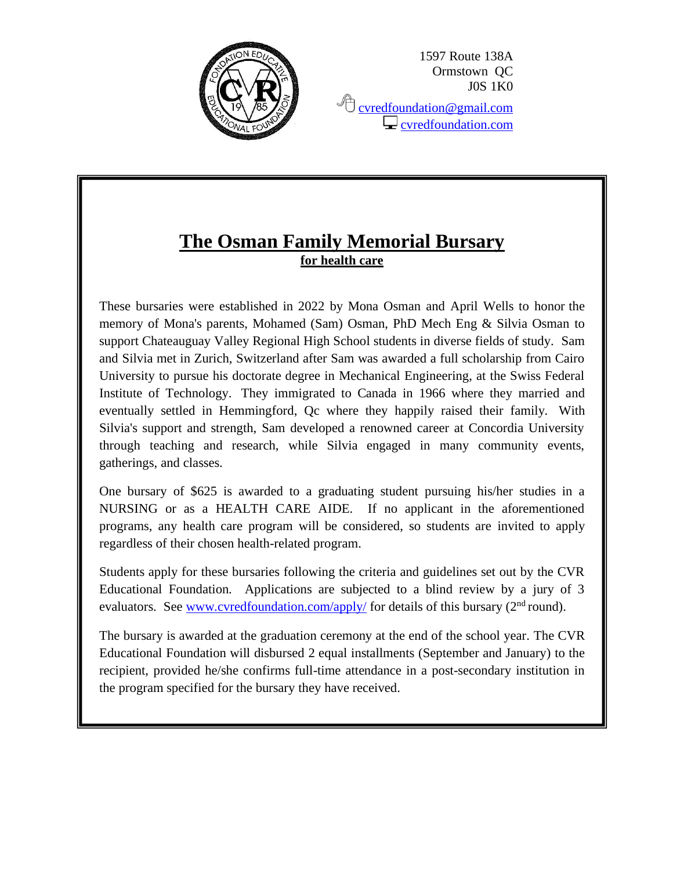

1597 Route 138A Ormstown QC J0S 1K0

<sup></sub><sup></sub> [cvredfoundation@gmail.com](mailto:cvredfoundation@gmail.com)</sup></sup>  $\Box$  [cvredfoundation.com](http://www.cvredfoundation.com/)

## **The Osman Family Memorial Bursary for health care**

These bursaries were established in 2022 by Mona Osman and April Wells to honor the memory of Mona's parents, Mohamed (Sam) Osman, PhD Mech Eng & Silvia Osman to support Chateauguay Valley Regional High School students in diverse fields of study. Sam and Silvia met in Zurich, Switzerland after Sam was awarded a full scholarship from Cairo University to pursue his doctorate degree in Mechanical Engineering, at the Swiss Federal Institute of Technology. They immigrated to Canada in 1966 where they married and eventually settled in Hemmingford, Qc where they happily raised their family. With Silvia's support and strength, Sam developed a renowned career at Concordia University through teaching and research, while Silvia engaged in many community events, gatherings, and classes.

One bursary of \$625 is awarded to a graduating student pursuing his/her studies in a NURSING or as a HEALTH CARE AIDE. If no applicant in the aforementioned programs, any health care program will be considered, so students are invited to apply regardless of their chosen health-related program.

Students apply for these bursaries following the criteria and guidelines set out by the CVR Educational Foundation. Applications are subjected to a blind review by a jury of 3 evaluators. See [www.cvredfoundation.com/apply/](http://www.cvredfoundation.com/apply/) for details of this bursary  $(2<sup>nd</sup>$  round).

The bursary is awarded at the graduation ceremony at the end of the school year. The CVR Educational Foundation will disbursed 2 equal installments (September and January) to the recipient, provided he/she confirms full-time attendance in a post-secondary institution in the program specified for the bursary they have received.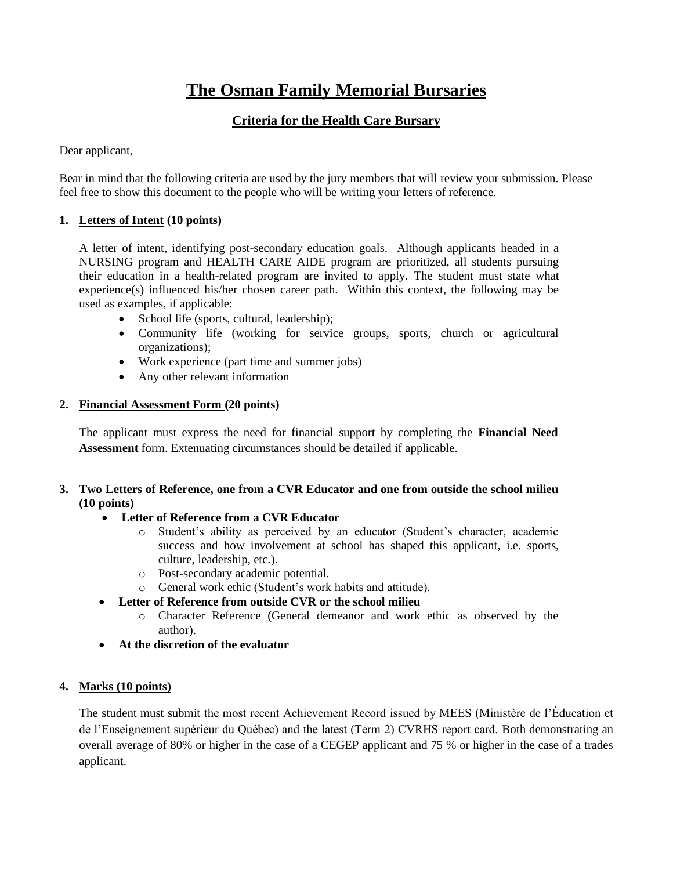# **The Osman Family Memorial Bursaries**

### **Criteria for the Health Care Bursary**

Dear applicant,

Bear in mind that the following criteria are used by the jury members that will review your submission. Please feel free to show this document to the people who will be writing your letters of reference.

#### **1. Letters of Intent (10 points)**

A letter of intent, identifying post-secondary education goals. Although applicants headed in a NURSING program and HEALTH CARE AIDE program are prioritized, all students pursuing their education in a health-related program are invited to apply. The student must state what experience(s) influenced his/her chosen career path. Within this context, the following may be used as examples, if applicable:

- School life (sports, cultural, leadership);
- Community life (working for service groups, sports, church or agricultural organizations);
- Work experience (part time and summer jobs)
- Any other relevant information

#### **2. Financial Assessment Form (20 points)**

The applicant must express the need for financial support by completing the **Financial Need Assessment** form. Extenuating circumstances should be detailed if applicable.

#### **3. Two Letters of Reference, one from a CVR Educator and one from outside the school milieu (10 points)**

- **Letter of Reference from a CVR Educator**
	- o Student's ability as perceived by an educator (Student's character, academic success and how involvement at school has shaped this applicant, i.e. sports, culture, leadership, etc.).
	- o Post-secondary academic potential.
	- o General work ethic (Student's work habits and attitude).
- **Letter of Reference from outside CVR or the school milieu**
	- o Character Reference (General demeanor and work ethic as observed by the author).
- **At the discretion of the evaluator**

#### **4. Marks (10 points)**

The student must submit the most recent Achievement Record issued by MEES (Ministère de l'Éducation et de l'Enseignement supérieur du Québec) and the latest (Term 2) CVRHS report card. Both demonstrating an overall average of 80% or higher in the case of a CEGEP applicant and 75 % or higher in the case of a trades applicant.